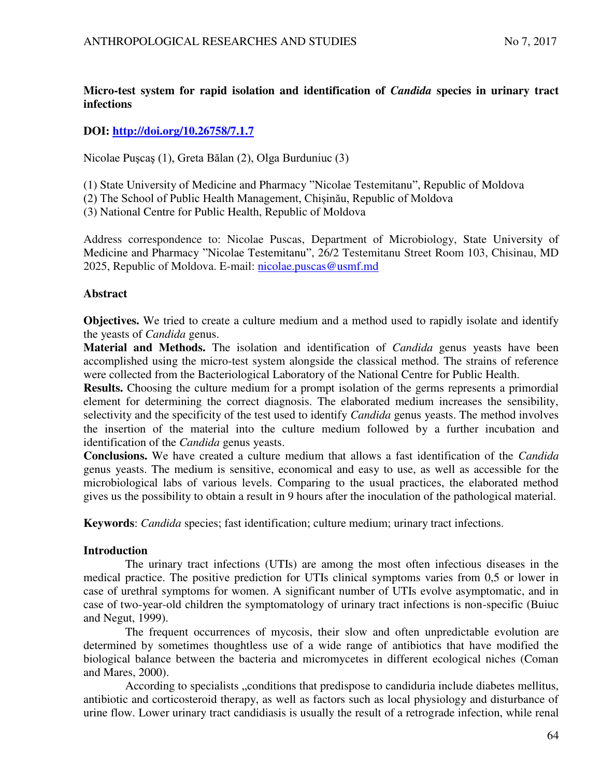# **Micro-test system for rapid isolation and identification of** *Candida* **species in urinary tract infections**

## **DOI:<http://doi.org/10.26758/7.1.7>**

Nicolae Puşcaş (1), Greta Bălan (2), Olga Burduniuc (3)

- (1) State University of Medicine and Pharmacy "Nicolae Testemitanu", Republic of Moldova
- (2) The School of Public Health Management, Chișinău, Republic of Moldova

(3) National Centre for Public Health, Republic of Moldova

Address correspondence to: Nicolae Puscas, Department of Microbiology, State University of Medicine and Pharmacy "Nicolae Testemitanu", 26/2 Testemitanu Street Room 103, Chisinau, MD 2025, Republic of Moldova. E-mail: [nicolae.puscas@usmf.md](mailto:nicolae.puscas@usmf.md)

#### **Abstract**

**Objectives.** We tried to create a culture medium and a method used to rapidly isolate and identify the yeasts of *Candida* genus.

**Material and Methods.** The isolation and identification of *Candida* genus yeasts have been accomplished using the micro-test system alongside the classical method. The strains of reference were collected from the Bacteriological Laboratory of the National Centre for Public Health.

**Results.** Choosing the culture medium for a prompt isolation of the germs represents a primordial element for determining the correct diagnosis. The elaborated medium increases the sensibility, selectivity and the specificity of the test used to identify *Candida* genus yeasts. The method involves the insertion of the material into the culture medium followed by a further incubation and identification of the *Candida* genus yeasts.

**Conclusions.** We have created a culture medium that allows a fast identification of the *Candida* genus yeasts. The medium is sensitive, economical and easy to use, as well as accessible for the microbiological labs of various levels. Comparing to the usual practices, the elaborated method gives us the possibility to obtain a result in 9 hours after the inoculation of the pathological material.

**Keywords**: *Candida* species; fast identification; culture medium; urinary tract infections.

#### **Introduction**

The urinary tract infections (UTIs) are among the most often infectious diseases in the medical practice. The positive prediction for UTIs clinical symptoms varies from 0,5 or lower in case of urethral symptoms for women. A significant number of UTIs evolve asymptomatic, and in case of two-year-old children the symptomatology of urinary tract infections is non-specific (Buiuc and Negut, 1999).

The frequent occurrences of mycosis, their slow and often unpredictable evolution are determined by sometimes thoughtless use of a wide range of antibiotics that have modified the biological balance between the bacteria and micromycetes in different ecological niches (Coman and Mares, 2000).

According to specialists "conditions that predispose to candiduria include diabetes mellitus, antibiotic and corticosteroid therapy, as well as factors such as local physiology and disturbance of urine flow. Lower urinary tract candidiasis is usually the result of a retrograde infection, while renal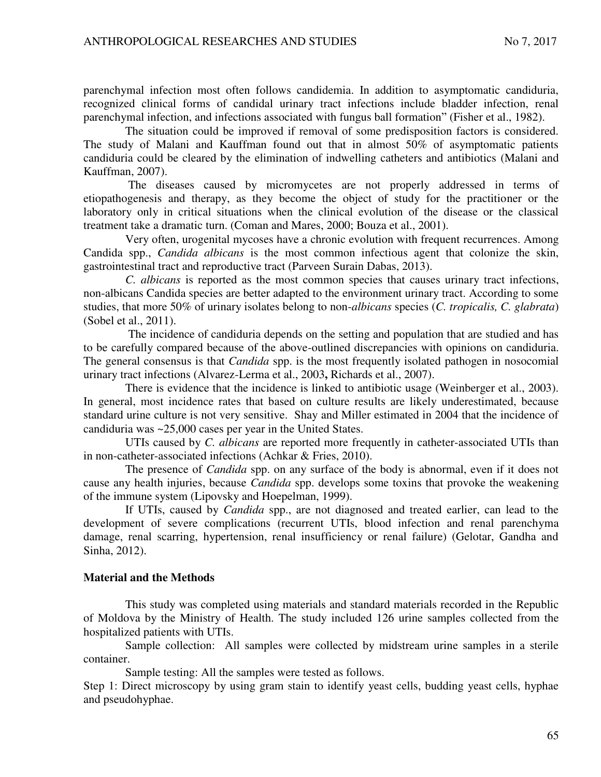parenchymal infection most often follows candidemia. In addition to asymptomatic candiduria, recognized clinical forms of candidal urinary tract infections include bladder infection, renal parenchymal infection, and infections associated with fungus ball formation" (Fisher et al., 1982).

The situation could be improved if removal of some predisposition factors is considered. The study of Malani and Kauffman found out that in almost 50% of asymptomatic patients candiduria could be cleared by the elimination of indwelling catheters and antibiotics (Malani and Kauffman, 2007).

The diseases caused by micromycetes are not properly addressed in terms of etiopathogenesis and therapy, as they become the object of study for the practitioner or the laboratory only in critical situations when the clinical evolution of the disease or the classical treatment take a dramatic turn. (Coman and Mares, 2000; Bouza et al., 2001).

Very often, urogenital mycoses have a chronic evolution with frequent recurrences. Among Candida spp., *Candida albicans* is the most common infectious agent that colonize the skin, gastrointestinal tract and reproductive tract (Parveen Surain Dabas, 2013).

*C. albicans* is reported as the most common species that causes urinary tract infections, non-albicans Candida species are better adapted to the environment urinary tract. According to some studies, that more 50% of urinary isolates belong to non-*albicans* species (*C. tropicalis, C. glabrata*) (Sobel et al., 2011).

The incidence of candiduria depends on the setting and population that are studied and has to be carefully compared because of the above-outlined discrepancies with opinions on candiduria. The general consensus is that *Candida* spp. is the most frequently isolated pathogen in nosocomial urinary tract infections (Alvarez-Lerma et al., 2003**,** Richards et al., 2007).

There is evidence that the incidence is linked to antibiotic usage (Weinberger et al., 2003). In general, most incidence rates that based on culture results are likely underestimated, because standard urine culture is not very sensitive. Shay and Miller estimated in 2004 that the incidence of candiduria was ~25,000 cases per year in the United States.

UTIs caused by *C. albicans* are reported more frequently in catheter-associated UTIs than in non-catheter-associated infections (Achkar & Fries, 2010).

The presence of *Candida* spp. on any surface of the body is abnormal, even if it does not cause any health injuries, because *Candida* spp. develops some toxins that provoke the weakening of the immune system (Lipovsky and Hoepelman, 1999).

If UTIs, caused by *Candida* spp., are not diagnosed and treated earlier, can lead to the development of severe complications (recurrent UTIs, blood infection and renal parenchyma damage, renal scarring, hypertension, renal insufficiency or renal failure) (Gelotar, Gandha and Sinha, 2012).

## **Material and the Methods**

This study was completed using materials and standard materials recorded in the Republic of Moldova by the Ministry of Health. The study included 126 urine samples collected from the hospitalized patients with UTIs.

Sample collection: All samples were collected by midstream urine samples in a sterile container.

Sample testing: All the samples were tested as follows.

Step 1: Direct microscopy by using gram stain to identify yeast cells, budding yeast cells, hyphae and pseudohyphae.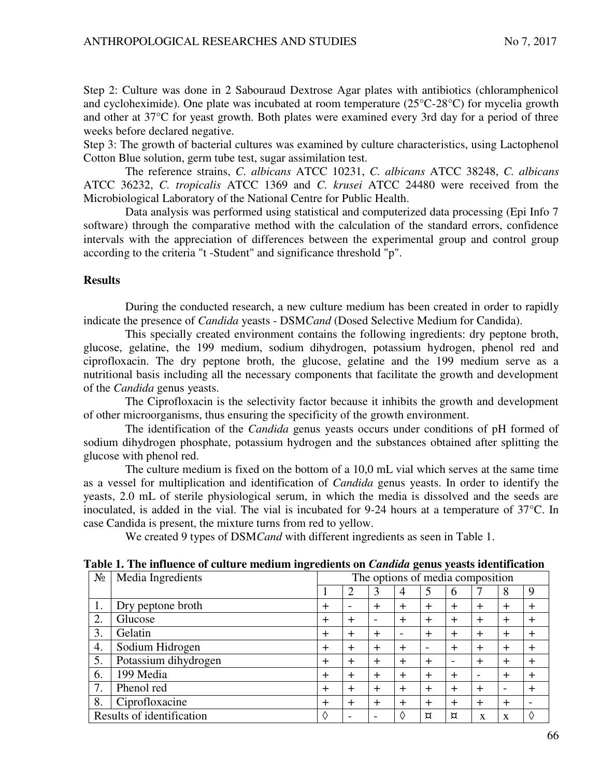Step 2: Culture was done in 2 Sabouraud Dextrose Agar plates with antibiotics (chloramphenicol and cycloheximide). One plate was incubated at room temperature (25°C-28°C) for mycelia growth and other at 37°C for yeast growth. Both plates were examined every 3rd day for a period of three weeks before declared negative.

Step 3: The growth of bacterial cultures was examined by culture characteristics, using Lactophenol Cotton Blue solution, germ tube test, sugar assimilation test.

The reference strains, *C. albicans* ATCC 10231, *C. albicans* ATCC 38248, *C. albicans*  ATCC 36232, *C. tropicalis* ATCC 1369 and *C. krusei* ATCC 24480 were received from the Microbiological Laboratory of the National Centre for Public Health.

Data analysis was performed using statistical and computerized data processing (Epi Info 7 software) through the comparative method with the calculation of the standard errors, confidence intervals with the appreciation of differences between the experimental group and control group according to the criteria "t -Student" and significance threshold "p".

### **Results**

During the conducted research, a new culture medium has been created in order to rapidly indicate the presence of *Candida* yeasts - DSM*Cand* (Dosed Selective Medium for Candida).

This specially created environment contains the following ingredients: dry peptone broth, glucose, gelatine, the 199 medium, sodium dihydrogen, potassium hydrogen, phenol red and ciprofloxacin. The dry peptone broth, the glucose, gelatine and the 199 medium serve as a nutritional basis including all the necessary components that facilitate the growth and development of the *Candida* genus yeasts.

The Ciprofloxacin is the selectivity factor because it inhibits the growth and development of other microorganisms, thus ensuring the specificity of the growth environment.

The identification of the *Candida* genus yeasts occurs under conditions of pH formed of sodium dihydrogen phosphate, potassium hydrogen and the substances obtained after splitting the glucose with phenol red.

The culture medium is fixed on the bottom of a 10,0 mL vial which serves at the same time as a vessel for multiplication and identification of *Candida* genus yeasts. In order to identify the yeasts, 2.0 mL of sterile physiological serum, in which the media is dissolved and the seeds are inoculated, is added in the vial. The vial is incubated for 9-24 hours at a temperature of 37°C. In case Candida is present, the mixture turns from red to yellow.

We created 9 types of DSM*Cand* with different ingredients as seen in Table 1.

| $N_2$ | ᇢ<br>Media Ingredients    | The options of media composition                                                   |                          |        |                          |           |                          |                          |                          |           |  |
|-------|---------------------------|------------------------------------------------------------------------------------|--------------------------|--------|--------------------------|-----------|--------------------------|--------------------------|--------------------------|-----------|--|
|       |                           |                                                                                    | 2                        | 3      | 4                        |           | 6                        |                          | 8                        | 9         |  |
| 1.    | Dry peptone broth         | $\div$                                                                             | $\overline{\phantom{0}}$ | $\div$ | $\pm$                    | $\ddot{}$ | $+$                      | $\div$                   | $\pm$                    | $\pm$     |  |
| 2.    | Glucose                   | $\div$                                                                             | $^{+}$                   |        | $\pm$                    | $\ddot{}$ | $\ddot{}$                | $+$                      | $+$                      | $\ddot{}$ |  |
| 3.    | Gelatin                   | $\div$                                                                             | $^{+}$                   | $^{+}$ | $\overline{\phantom{0}}$ | $\ddot{}$ | $\ddot{}$                | $^{+}$                   | $\ddot{}$                | $^{+}$    |  |
| 4.    | Sodium Hidrogen           | $\div$                                                                             | $\div$                   | $\pm$  | $\ddot{}$                |           | $+$                      | $+$                      | $\pm$                    | $\pm$     |  |
| 5.    | Potassium dihydrogen      | $\pm$                                                                              | $\div$                   | $\pm$  | $\pm$                    | $\pm$     | $\overline{\phantom{0}}$ | $\div$                   | $\pm$                    | $^{+}$    |  |
| 6.    | 199 Media                 | $\pm$                                                                              | $\div$                   | $\div$ | $\div$                   | $\ddot{}$ | $\ddot{}$                | $\overline{\phantom{a}}$ | $\pm$                    | $\div$    |  |
| 7.    | Phenol red                | $\div$                                                                             | $\div$                   | $\pm$  | $^{+}$                   | $+$       | $+$                      | $+$                      | $\overline{\phantom{0}}$ | $^{+}$    |  |
| 8.    | Ciprofloxacine            | $\pm$                                                                              | $\div$                   | $\div$ | $\div$                   | $\pm$     | $\ddot{}$                | $^{+}$                   | $\div$                   |           |  |
|       | Results of identification | ♦<br>♦<br>¤<br>¤<br>X<br>X<br>$\overline{\phantom{0}}$<br>$\overline{\phantom{a}}$ |                          |        |                          |           |                          |                          |                          |           |  |

**Table 1. The influence of culture medium ingredients on** *Candida* **genus yeasts identification**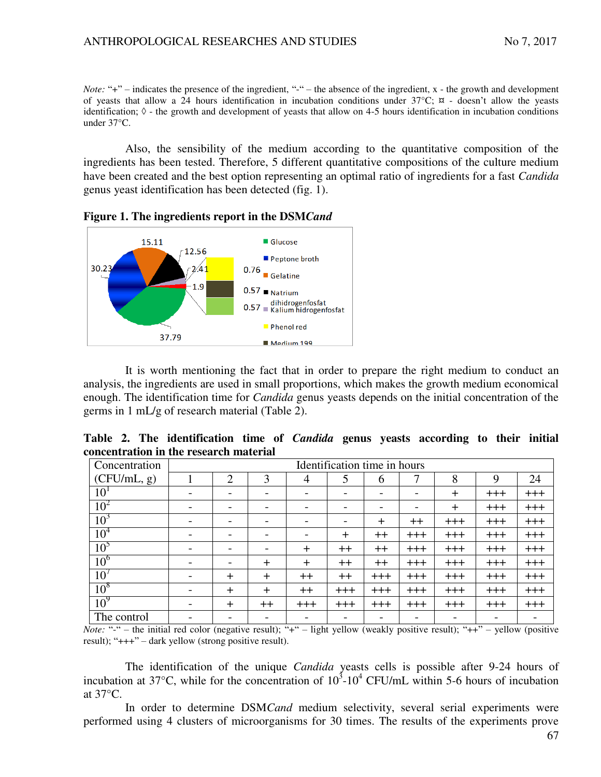*Note:* "+" – indicates the presence of the ingredient, "-" – the absence of the ingredient, x - the growth and development of yeasts that allow a 24 hours identification in incubation conditions under  $37^{\circ}$ C;  $\overline{x}$  - doesn't allow the yeasts identification;  $\Diamond$  - the growth and development of yeasts that allow on 4-5 hours identification in incubation conditions under 37°C.

Also, the sensibility of the medium according to the quantitative composition of the ingredients has been tested. Therefore, 5 different quantitative compositions of the culture medium have been created and the best option representing an optimal ratio of ingredients for a fast *Candida* genus yeast identification has been detected (fig. 1).



**Figure 1. The ingredients report in the DSM***Cand* 

It is worth mentioning the fact that in order to prepare the right medium to conduct an analysis, the ingredients are used in small proportions, which makes the growth medium economical enough. The identification time for *Candida* genus yeasts depends on the initial concentration of the germs in 1 mL/g of research material (Table 2).

|                                        |  |  | Table 2. The identification time of <i>Candida</i> genus yeasts according to their initial |  |  |  |  |  |  |
|----------------------------------------|--|--|--------------------------------------------------------------------------------------------|--|--|--|--|--|--|
| concentration in the research material |  |  |                                                                                            |  |  |  |  |  |  |

| Concentration   | Identification time in hours |                |                          |                          |       |                          |                          |       |       |       |  |  |
|-----------------|------------------------------|----------------|--------------------------|--------------------------|-------|--------------------------|--------------------------|-------|-------|-------|--|--|
| (CFU/mL, g)     |                              | $\overline{2}$ | 3                        | $\overline{4}$           |       | 6                        |                          | 8     | 9     | 24    |  |  |
| 10 <sup>1</sup> | $\qquad \qquad$              |                |                          | $\overline{\phantom{0}}$ |       | $\overline{\phantom{0}}$ | $\overline{\phantom{0}}$ | $+$   | $+++$ | $+++$ |  |  |
| $10^2$          | $\overline{a}$               |                |                          |                          |       |                          |                          | $+$   | $+++$ | $+++$ |  |  |
| 10 <sup>3</sup> | $\overline{\phantom{0}}$     |                |                          |                          |       | $+$                      | $^{\mathrm{++}}$         | $+++$ | $+++$ | $+++$ |  |  |
| 10 <sup>4</sup> |                              |                |                          |                          | $+$   | $++$                     | $+++$                    | $+++$ | $+++$ | $+++$ |  |  |
| 10 <sup>5</sup> | $\overline{\phantom{0}}$     |                | $\overline{\phantom{a}}$ | $+$                      | $++$  | $++$                     | $+++$                    | $+++$ | $+++$ | $+++$ |  |  |
| 10 <sup>6</sup> | $\overline{\phantom{0}}$     |                | $+$                      | $\div$                   | $++$  | $++$                     | $+++$                    | $+++$ | $+++$ | $+++$ |  |  |
| $10^7$          | $\overline{\phantom{a}}$     | $\ddot{}$      | $+$                      | $++$                     | $++$  | $+++$                    | $+++$                    | $+++$ | $+++$ | $+++$ |  |  |
| 10 <sup>8</sup> | $\overline{\phantom{a}}$     | $^{+}$         | $+$                      | $++$                     | $+++$ | $+++$                    | $+++$                    | $+++$ | $+++$ | $+++$ |  |  |
| $10^9$          | $\overline{\phantom{0}}$     | $^{+}$         | $^+$                     | $+++$                    | $+++$ | $+++$                    | $+++$                    | $+++$ | $+++$ | $+++$ |  |  |
| The control     |                              |                |                          |                          |       |                          |                          |       |       | -     |  |  |

*Note:* "-" – the initial red color (negative result); "+" – light yellow (weakly positive result); "++" – yellow (positive result); "+++" – dark yellow (strong positive result).

The identification of the unique *Candida* yeasts cells is possible after 9-24 hours of incubation at 37 $^{\circ}$ C, while for the concentration of 10<sup>3</sup>-10<sup>4</sup> CFU/mL within 5-6 hours of incubation at 37°C.

In order to determine DSM*Cand* medium selectivity, several serial experiments were performed using 4 clusters of microorganisms for 30 times. The results of the experiments prove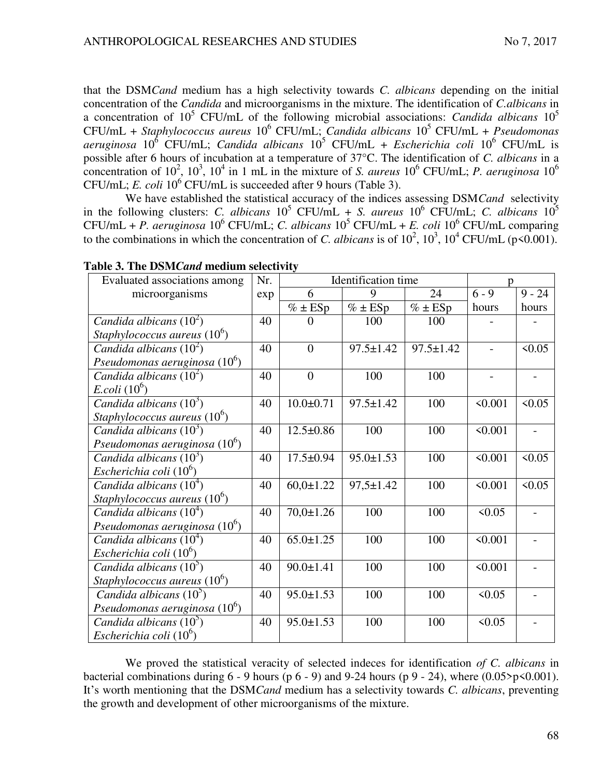that the DSM*Cand* medium has a high selectivity towards *C. albicans* depending on the initial concentration of the *Candida* and microorganisms in the mixture. The identification of *C.albicans* in a concentration of 10<sup>5</sup> CFU/mL of the following microbial associations: *Candida albicans* 10<sup>5</sup> CFU/mL + *Staphylococcus aureus* 10<sup>6</sup> CFU/mL; *Candida albicans* 10<sup>5</sup> CFU/mL + *Pseudomonas*  aeruginosa 10<sup>6</sup> CFU/mL; *Candida albicans* 10<sup>5</sup> CFU/mL + *Escherichia coli* 10<sup>6</sup> CFU/mL is possible after 6 hours of incubation at a temperature of 37°C. The identification of *C. albicans* in a concentration of  $10^2$ ,  $10^3$ ,  $10^4$  in 1 mL in the mixture of *S. aureus*  $10^6$  CFU/mL; *P. aeruginosa*  $10^6$ CFU/mL; *E. coli* 10<sup>6</sup> CFU/mL is succeeded after 9 hours (Table 3).

We have established the statistical accuracy of the indices assessing DSM*Cand* selectivity in the following clusters: *C. albicans*  $10^5$  CFU/mL + *S. aureus*  $10^6$  CFU/mL; *C. albicans*  $10^5$  $CFU/mL + P. aeruginosa 10<sup>6</sup> CFU/mL; C. albicans 10<sup>5</sup> CFU/mL + E. coli 10<sup>6</sup> CFU/mL comparing$ to the combinations in which the concentration of *C. albicans* is of  $10^2$ ,  $10^3$ ,  $10^4$  CFU/mL (p<0.001).

| Evaluated associations among    | Nr. | D               |                 |                 |                |          |
|---------------------------------|-----|-----------------|-----------------|-----------------|----------------|----------|
| microorganisms                  |     | 6               | 9               | 24              | $6 - 9$        | $9 - 24$ |
|                                 |     | $% \pm ESp$     | $\% \pm ESp$    | $% \pm ESp$     | hours          | hours    |
| Candida albicans $(10^2)$       | 40  | $\Omega$        | 100             | 100             |                |          |
| Staphylococcus aureus $(10^6)$  |     |                 |                 |                 |                |          |
| Candida albicans $(10^2)$       | 40  | $\theta$        | $97.5 \pm 1.42$ | $97.5 \pm 1.42$ |                | 50.05    |
| Pseudomonas aeruginosa $(10^6)$ |     |                 |                 |                 |                |          |
| Candida albicans $(10^2)$       | 40  | $\overline{0}$  | 100             | 100             | $\overline{a}$ |          |
| <i>E.coli</i> $(10^6)$          |     |                 |                 |                 |                |          |
| Candida albicans $(10^3)$       | 40  | $10.0 + 0.71$   | $97.5 \pm 1.42$ | 100             | < 0.001        | 50.05    |
| Staphylococcus aureus $(10^6)$  |     |                 |                 |                 |                |          |
| Candida albicans $(10^3)$       | 40  | $12.5 \pm 0.86$ | 100             | 100             | < 0.001        |          |
| Pseudomonas aeruginosa $(10^6)$ |     |                 |                 |                 |                |          |
| Candida albicans $(10^3)$       | 40  | $17.5 \pm 0.94$ | $95.0 \pm 1.53$ | 100             | < 0.001        | 50.05    |
| Escherichia coli $(10^6)$       |     |                 |                 |                 |                |          |
| Candida albicans $(10^4)$       | 40  | $60,0{\pm}1.22$ | $97,5 \pm 1.42$ | 100             | < 0.001        | 50.05    |
| Staphylococcus aureus $(10^6)$  |     |                 |                 |                 |                |          |
| Candida albicans $(10^4)$       | 40  | $70,0 \pm 1.26$ | 100             | 100             | 50.05          |          |
| Pseudomonas aeruginosa $(10^6)$ |     |                 |                 |                 |                |          |
| Candida albicans $(10^4)$       | 40  | $65.0 \pm 1.25$ | 100             | 100             | < 0.001        |          |
| Escherichia coli $(10^6)$       |     |                 |                 |                 |                |          |
| Candida albicans $(10^5)$       | 40  | $90.0 \pm 1.41$ | 100             | 100             | < 0.001        |          |
| Staphylococcus aureus $(10^6)$  |     |                 |                 |                 |                |          |
| Candida albicans $(10^5)$       | 40  | $95.0 \pm 1.53$ | 100             | 100             | < 0.05         |          |
| Pseudomonas aeruginosa $(10^6)$ |     |                 |                 |                 |                |          |
| Candida albicans $(10^3)$       | 40  | $95.0 \pm 1.53$ | 100             | 100             | < 0.05         |          |
| Escherichia coli $(10^6)$       |     |                 |                 |                 |                |          |

**Table 3. The DSM***Cand* **medium selectivity** 

We proved the statistical veracity of selected indeces for identification *of C. albicans* in bacterial combinations during  $6 - 9$  hours (p  $6 - 9$ ) and  $9 - 24$  hours (p  $9 - 24$ ), where (0.05>p<0.001). It's worth mentioning that the DSM*Cand* medium has a selectivity towards *C. albicans*, preventing the growth and development of other microorganisms of the mixture.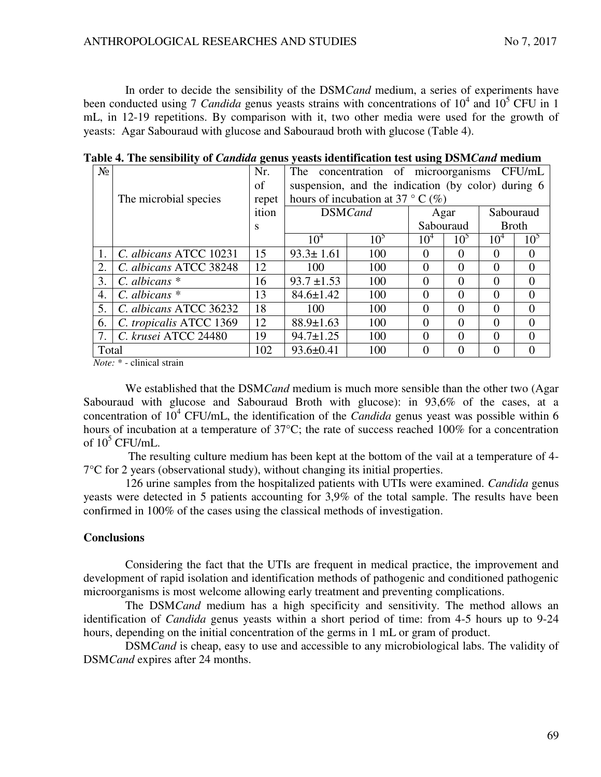In order to decide the sensibility of the DSM*Cand* medium, a series of experiments have been conducted using 7 *Candida* genus yeasts strains with concentrations of 10<sup>4</sup> and 10<sup>5</sup> CFU in 1 mL, in 12-19 repetitions. By comparison with it, two other media were used for the growth of yeasts: Agar Sabouraud with glucose and Sabouraud broth with glucose (Table 4).

| $N_2$ |                         | Nr.   | The                                                | concentration of microorganisms CFU/mL |                 |                 |                 |                  |  |  |
|-------|-------------------------|-------|----------------------------------------------------|----------------------------------------|-----------------|-----------------|-----------------|------------------|--|--|
|       |                         | of    | suspension, and the indication (by color) during 6 |                                        |                 |                 |                 |                  |  |  |
|       | The microbial species   | repet | hours of incubation at 37 ° C $(\%)$               |                                        |                 |                 |                 |                  |  |  |
|       |                         | ition | <b>DSMCand</b>                                     |                                        | Agar            | Sabouraud       |                 |                  |  |  |
|       |                         | S     |                                                    |                                        | Sabouraud       | <b>Broth</b>    |                 |                  |  |  |
|       |                         |       | $10^4$                                             | 10 <sup>5</sup>                        | 10 <sup>4</sup> | 10 <sup>5</sup> | 10 <sup>4</sup> | 10 <sup>5</sup>  |  |  |
| 1.    | C. albicans ATCC 10231  | 15    | $93.3 \pm 1.61$                                    | 100                                    | $\Omega$        | $\Omega$        | $\Omega$        | $\left( \right)$ |  |  |
| 2.    | C. albicans ATCC 38248  | 12    | 100                                                | 100                                    | 0               | $\Omega$        | $\Omega$        |                  |  |  |
| 3.    | C. albicans $*$         | 16    | $93.7 \pm 1.53$                                    | 100                                    | 0               | $\Omega$        | $\Omega$        |                  |  |  |
| 4.    | C. albicans $*$         | 13    | $84.6 \pm 1.42$                                    | 100                                    | 0               | $\Omega$        | 0               | 0                |  |  |
| 5.    | C. albicans ATCC 36232  | 18    | 100                                                | 100                                    | 0               | 0               | $\Omega$        |                  |  |  |
| 6.    | C. tropicalis ATCC 1369 | 12    | $88.9 \pm 1.63$                                    | 100                                    | 0               | $\Omega$        | $\Omega$        | $\Omega$         |  |  |
| 7.    | C. krusei ATCC 24480    | 19    | $94.7 \pm 1.25$                                    | 100                                    | 0               | 0               | $\Omega$        |                  |  |  |
| Total |                         | 102   | $93.6 \pm 0.41$                                    | 100                                    |                 |                 |                 |                  |  |  |

**Table 4. The sensibility of** *Candida* **genus yeasts identification test using DSM***Cand* **medium** 

 *Note:* \* - clinical strain

We established that the DSM*Cand* medium is much more sensible than the other two (Agar Sabouraud with glucose and Sabouraud Broth with glucose): in 93,6% of the cases, at a concentration of  $10^4$  CFU/mL, the identification of the *Candida* genus yeast was possible within 6 hours of incubation at a temperature of 37<sup>o</sup>C; the rate of success reached 100% for a concentration of  $10^5$  CFU/mL.

The resulting culture medium has been kept at the bottom of the vail at a temperature of 4- 7°C for 2 years (observational study), without changing its initial properties.

126 urine samples from the hospitalized patients with UTIs were examined. *Candida* genus yeasts were detected in 5 patients accounting for 3,9% of the total sample. The results have been confirmed in 100% of the cases using the classical methods of investigation.

#### **Conclusions**

Considering the fact that the UTIs are frequent in medical practice, the improvement and development of rapid isolation and identification methods of pathogenic and conditioned pathogenic microorganisms is most welcome allowing early treatment and preventing complications.

The DSM*Cand* medium has a high specificity and sensitivity. The method allows an identification of *Candida* genus yeasts within a short period of time: from 4-5 hours up to 9-24 hours, depending on the initial concentration of the germs in 1 mL or gram of product.

DSM*Cand* is cheap, easy to use and accessible to any microbiological labs. The validity of DSM*Cand* expires after 24 months.